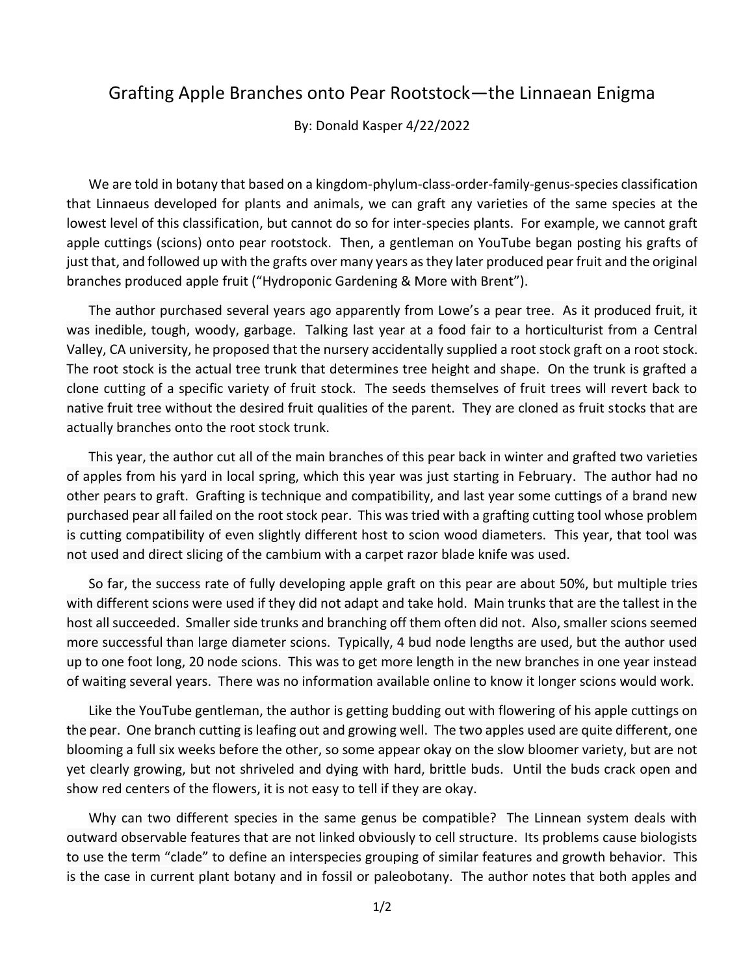## Grafting Apple Branches onto Pear Rootstock—the Linnaean Enigma

By: Donald Kasper 4/22/2022

We are told in botany that based on a kingdom-phylum-class-order-family-genus-species classification that Linnaeus developed for plants and animals, we can graft any varieties of the same species at the lowest level of this classification, but cannot do so for inter-species plants. For example, we cannot graft apple cuttings (scions) onto pear rootstock. Then, a gentleman on YouTube began posting his grafts of just that, and followed up with the grafts over many years as they later produced pear fruit and the original branches produced apple fruit ("Hydroponic Gardening & More with Brent").

The author purchased several years ago apparently from Lowe's a pear tree. As it produced fruit, it was inedible, tough, woody, garbage. Talking last year at a food fair to a horticulturist from a Central Valley, CA university, he proposed that the nursery accidentally supplied a root stock graft on a root stock. The root stock is the actual tree trunk that determines tree height and shape. On the trunk is grafted a clone cutting of a specific variety of fruit stock. The seeds themselves of fruit trees will revert back to native fruit tree without the desired fruit qualities of the parent. They are cloned as fruit stocks that are actually branches onto the root stock trunk.

This year, the author cut all of the main branches of this pear back in winter and grafted two varieties of apples from his yard in local spring, which this year was just starting in February. The author had no other pears to graft. Grafting is technique and compatibility, and last year some cuttings of a brand new purchased pear all failed on the root stock pear. This was tried with a grafting cutting tool whose problem is cutting compatibility of even slightly different host to scion wood diameters. This year, that tool was not used and direct slicing of the cambium with a carpet razor blade knife was used.

So far, the success rate of fully developing apple graft on this pear are about 50%, but multiple tries with different scions were used if they did not adapt and take hold. Main trunks that are the tallest in the host all succeeded. Smaller side trunks and branching off them often did not. Also, smaller scions seemed more successful than large diameter scions. Typically, 4 bud node lengths are used, but the author used up to one foot long, 20 node scions. This was to get more length in the new branches in one year instead of waiting several years. There was no information available online to know it longer scions would work.

Like the YouTube gentleman, the author is getting budding out with flowering of his apple cuttings on the pear. One branch cutting is leafing out and growing well. The two apples used are quite different, one blooming a full six weeks before the other, so some appear okay on the slow bloomer variety, but are not yet clearly growing, but not shriveled and dying with hard, brittle buds. Until the buds crack open and show red centers of the flowers, it is not easy to tell if they are okay.

Why can two different species in the same genus be compatible? The Linnean system deals with outward observable features that are not linked obviously to cell structure. Its problems cause biologists to use the term "clade" to define an interspecies grouping of similar features and growth behavior. This is the case in current plant botany and in fossil or paleobotany. The author notes that both apples and